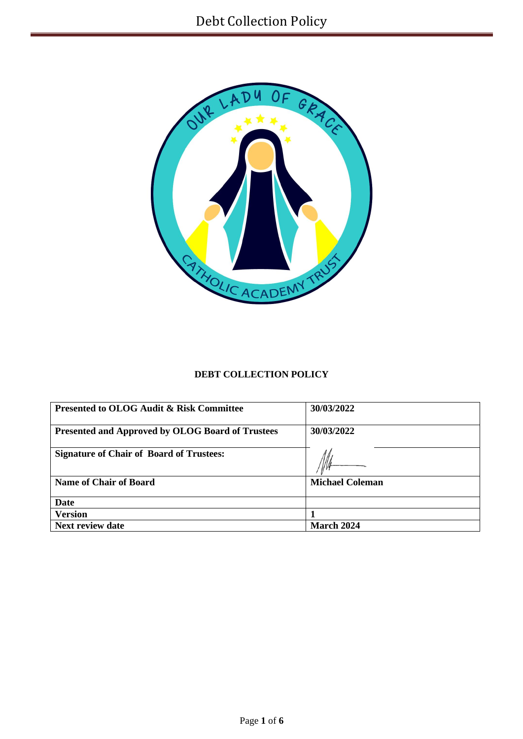

# **DEBT COLLECTION POLICY**

| <b>Presented to OLOG Audit &amp; Risk Committee</b>     | 30/03/2022             |  |
|---------------------------------------------------------|------------------------|--|
| <b>Presented and Approved by OLOG Board of Trustees</b> | 30/03/2022             |  |
| <b>Signature of Chair of Board of Trustees:</b>         |                        |  |
| <b>Name of Chair of Board</b>                           | <b>Michael Coleman</b> |  |
| <b>Date</b>                                             |                        |  |
| <b>Version</b>                                          |                        |  |
| <b>Next review date</b>                                 | March 2024             |  |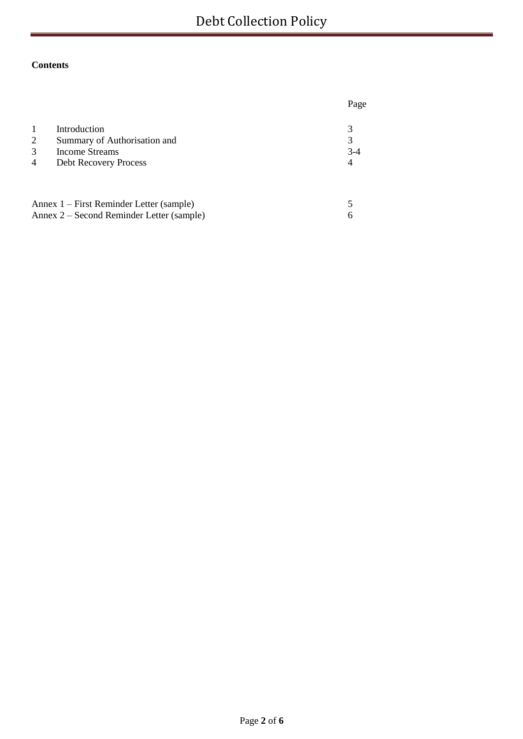# **Contents**

|                                          |                                                                                                | Page            |
|------------------------------------------|------------------------------------------------------------------------------------------------|-----------------|
| $\mathbf{1}$<br>2<br>3<br>$\overline{4}$ | Introduction<br>Summary of Authorisation and<br>Income Streams<br><b>Debt Recovery Process</b> | 3<br>$3-4$<br>4 |
|                                          | Annex 1 – First Reminder Letter (sample)                                                       |                 |
|                                          | Annex 2 – Second Reminder Letter (sample)                                                      |                 |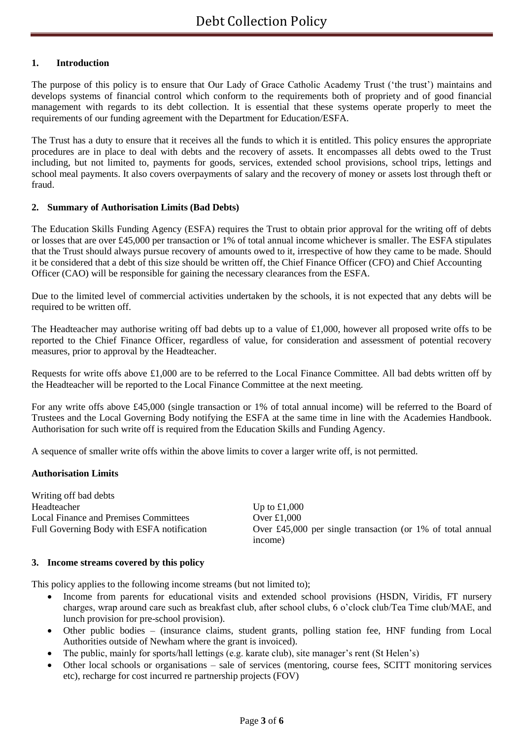## **1. Introduction**

The purpose of this policy is to ensure that Our Lady of Grace Catholic Academy Trust ('the trust') maintains and develops systems of financial control which conform to the requirements both of propriety and of good financial management with regards to its debt collection. It is essential that these systems operate properly to meet the requirements of our funding agreement with the Department for Education/ESFA.

The Trust has a duty to ensure that it receives all the funds to which it is entitled. This policy ensures the appropriate procedures are in place to deal with debts and the recovery of assets. It encompasses all debts owed to the Trust including, but not limited to, payments for goods, services, extended school provisions, school trips, lettings and school meal payments. It also covers overpayments of salary and the recovery of money or assets lost through theft or fraud.

### **2. Summary of Authorisation Limits (Bad Debts)**

The Education Skills Funding Agency (ESFA) requires the Trust to obtain prior approval for the writing off of debts or losses that are over £45,000 per transaction or 1% of total annual income whichever is smaller. The ESFA stipulates that the Trust should always pursue recovery of amounts owed to it, irrespective of how they came to be made. Should it be considered that a debt of this size should be written off, the Chief Finance Officer (CFO) and Chief Accounting Officer (CAO) will be responsible for gaining the necessary clearances from the ESFA.

Due to the limited level of commercial activities undertaken by the schools, it is not expected that any debts will be required to be written off.

The Headteacher may authorise writing off bad debts up to a value of £1,000, however all proposed write offs to be reported to the Chief Finance Officer, regardless of value, for consideration and assessment of potential recovery measures, prior to approval by the Headteacher.

Requests for write offs above £1,000 are to be referred to the Local Finance Committee. All bad debts written off by the Headteacher will be reported to the Local Finance Committee at the next meeting.

For any write offs above £45,000 (single transaction or 1% of total annual income) will be referred to the Board of Trustees and the Local Governing Body notifying the ESFA at the same time in line with the Academies Handbook. Authorisation for such write off is required from the Education Skills and Funding Agency.

A sequence of smaller write offs within the above limits to cover a larger write off, is not permitted.

#### **Authorisation Limits**

Writing off bad debts Headteacher Up to £1,000 Local Finance and Premises Committees Over £1,000

Full Governing Body with ESFA notification Over £45,000 per single transaction (or 1% of total annual income)

#### **3. Income streams covered by this policy**

This policy applies to the following income streams (but not limited to);

- Income from parents for educational visits and extended school provisions (HSDN, Viridis, FT nursery charges, wrap around care such as breakfast club, after school clubs, 6 o'clock club/Tea Time club/MAE, and lunch provision for pre-school provision).
- Other public bodies (insurance claims, student grants, polling station fee, HNF funding from Local Authorities outside of Newham where the grant is invoiced).
- The public, mainly for sports/hall lettings (e.g. karate club), site manager's rent (St Helen's)
- Other local schools or organisations sale of services (mentoring, course fees, SCITT monitoring services etc), recharge for cost incurred re partnership projects (FOV)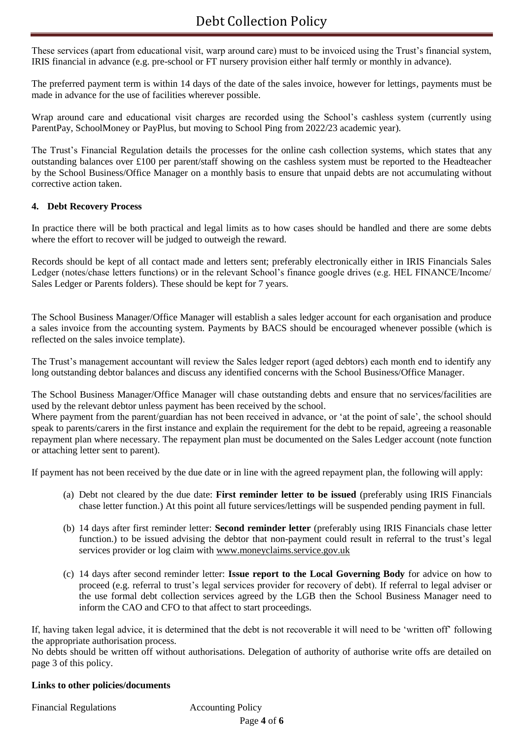These services (apart from educational visit, warp around care) must to be invoiced using the Trust's financial system, IRIS financial in advance (e.g. pre-school or FT nursery provision either half termly or monthly in advance).

The preferred payment term is within 14 days of the date of the sales invoice, however for lettings, payments must be made in advance for the use of facilities wherever possible.

Wrap around care and educational visit charges are recorded using the School's cashless system (currently using ParentPay, SchoolMoney or PayPlus, but moving to School Ping from 2022/23 academic year).

The Trust's Financial Regulation details the processes for the online cash collection systems, which states that any outstanding balances over £100 per parent/staff showing on the cashless system must be reported to the Headteacher by the School Business/Office Manager on a monthly basis to ensure that unpaid debts are not accumulating without corrective action taken.

## **4. Debt Recovery Process**

In practice there will be both practical and legal limits as to how cases should be handled and there are some debts where the effort to recover will be judged to outweigh the reward.

Records should be kept of all contact made and letters sent; preferably electronically either in IRIS Financials Sales Ledger (notes/chase letters functions) or in the relevant School's finance google drives (e.g. HEL FINANCE/Income/ Sales Ledger or Parents folders). These should be kept for 7 years.

The School Business Manager/Office Manager will establish a sales ledger account for each organisation and produce a sales invoice from the accounting system. Payments by BACS should be encouraged whenever possible (which is reflected on the sales invoice template).

The Trust's management accountant will review the Sales ledger report (aged debtors) each month end to identify any long outstanding debtor balances and discuss any identified concerns with the School Business/Office Manager.

The School Business Manager/Office Manager will chase outstanding debts and ensure that no services/facilities are used by the relevant debtor unless payment has been received by the school.

Where payment from the parent/guardian has not been received in advance, or 'at the point of sale', the school should speak to parents/carers in the first instance and explain the requirement for the debt to be repaid, agreeing a reasonable repayment plan where necessary. The repayment plan must be documented on the Sales Ledger account (note function or attaching letter sent to parent).

If payment has not been received by the due date or in line with the agreed repayment plan, the following will apply:

- (a) Debt not cleared by the due date: **First reminder letter to be issued** (preferably using IRIS Financials chase letter function.) At this point all future services/lettings will be suspended pending payment in full.
- (b) 14 days after first reminder letter: **Second reminder letter** (preferably using IRIS Financials chase letter function.) to be issued advising the debtor that non-payment could result in referral to the trust's legal services provider or log claim with [www.moneyclaims.service.gov.uk](http://www.moneyclaims.service.gov.uk/)
- (c) 14 days after second reminder letter: **Issue report to the Local Governing Body** for advice on how to proceed (e.g. referral to trust's legal services provider for recovery of debt). If referral to legal adviser or the use formal debt collection services agreed by the LGB then the School Business Manager need to inform the CAO and CFO to that affect to start proceedings.

If, having taken legal advice, it is determined that the debt is not recoverable it will need to be 'written off' following the appropriate authorisation process.

No debts should be written off without authorisations. Delegation of authority of authorise write offs are detailed on page 3 of this policy.

#### **Links to other policies/documents**

Financial Regulations **Accounting Policy**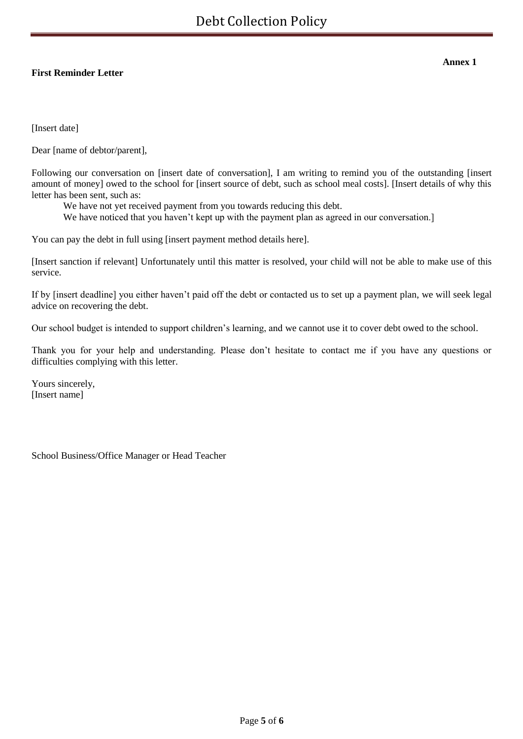## **First Reminder Letter**

**Annex 1**

[Insert date]

Dear [name of debtor/parent],

Following our conversation on [insert date of conversation], I am writing to remind you of the outstanding [insert amount of money] owed to the school for [insert source of debt, such as school meal costs]. [Insert details of why this letter has been sent, such as:

We have not yet received payment from you towards reducing this debt.

We have noticed that you haven't kept up with the payment plan as agreed in our conversation.]

You can pay the debt in full using [insert payment method details here].

[Insert sanction if relevant] Unfortunately until this matter is resolved, your child will not be able to make use of this service.

If by [insert deadline] you either haven't paid off the debt or contacted us to set up a payment plan, we will seek legal advice on recovering the debt.

Our school budget is intended to support children's learning, and we cannot use it to cover debt owed to the school.

Thank you for your help and understanding. Please don't hesitate to contact me if you have any questions or difficulties complying with this letter.

Yours sincerely, [Insert name]

School Business/Office Manager or Head Teacher